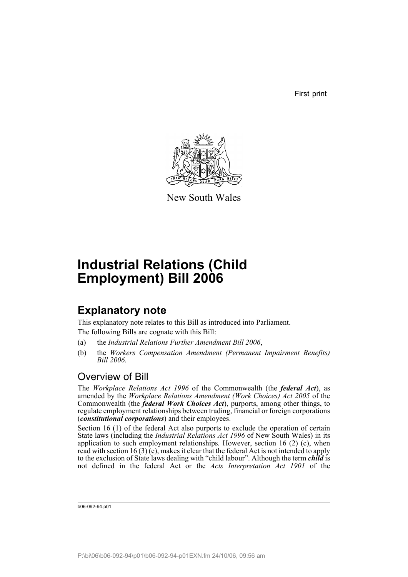First print



New South Wales

# **Industrial Relations (Child Employment) Bill 2006**

# **Explanatory note**

This explanatory note relates to this Bill as introduced into Parliament. The following Bills are cognate with this Bill:

- (a) the *Industrial Relations Further Amendment Bill 2006*,
- (b) the *Workers Compensation Amendment (Permanent Impairment Benefits) Bill 2006*.

# Overview of Bill

The *Workplace Relations Act 1996* of the Commonwealth (the *federal Act*), as amended by the *Workplace Relations Amendment (Work Choices) Act 2005* of the Commonwealth (the *federal Work Choices Act*), purports, among other things, to regulate employment relationships between trading, financial or foreign corporations (*constitutional corporations*) and their employees.

Section 16 (1) of the federal Act also purports to exclude the operation of certain State laws (including the *Industrial Relations Act 1996* of New South Wales) in its application to such employment relationships. However, section 16 (2) (c), when read with section 16 (3) (e), makes it clear that the federal Act is not intended to apply to the exclusion of State laws dealing with "child labour". Although the term *child* is not defined in the federal Act or the *Acts Interpretation Act 1901* of the

b06-092-94.p01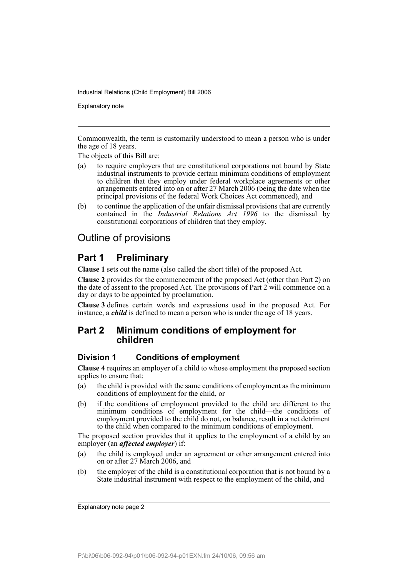Explanatory note

Commonwealth, the term is customarily understood to mean a person who is under the age of 18 years.

The objects of this Bill are:

- (a) to require employers that are constitutional corporations not bound by State industrial instruments to provide certain minimum conditions of employment to children that they employ under federal workplace agreements or other arrangements entered into on or after 27 March 2006 (being the date when the principal provisions of the federal Work Choices Act commenced), and
- (b) to continue the application of the unfair dismissal provisions that are currently contained in the *Industrial Relations Act 1996* to the dismissal by constitutional corporations of children that they employ.

# Outline of provisions

# **Part 1 Preliminary**

**Clause 1** sets out the name (also called the short title) of the proposed Act.

**Clause 2** provides for the commencement of the proposed Act (other than Part 2) on the date of assent to the proposed Act. The provisions of Part 2 will commence on a day or days to be appointed by proclamation.

**Clause 3** defines certain words and expressions used in the proposed Act. For instance, a *child* is defined to mean a person who is under the age of 18 years.

## **Part 2 Minimum conditions of employment for children**

## **Division 1 Conditions of employment**

**Clause 4** requires an employer of a child to whose employment the proposed section applies to ensure that:

- (a) the child is provided with the same conditions of employment as the minimum conditions of employment for the child, or
- (b) if the conditions of employment provided to the child are different to the minimum conditions of employment for the child—the conditions of employment provided to the child do not, on balance, result in a net detriment to the child when compared to the minimum conditions of employment.

The proposed section provides that it applies to the employment of a child by an employer (an *affected employer*) if:

- (a) the child is employed under an agreement or other arrangement entered into on or after 27 March 2006, and
- (b) the employer of the child is a constitutional corporation that is not bound by a State industrial instrument with respect to the employment of the child, and

Explanatory note page 2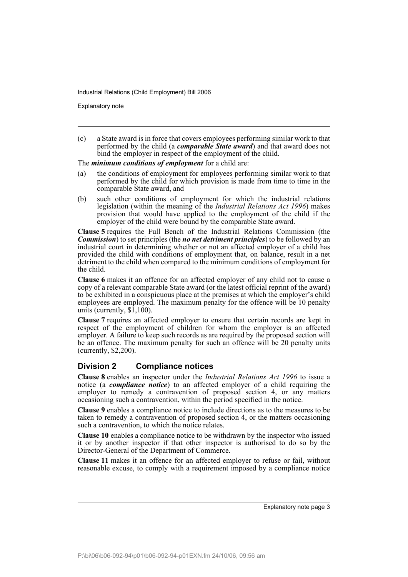Explanatory note

(c) a State award is in force that covers employees performing similar work to that performed by the child (a *comparable State award*) and that award does not bind the employer in respect of the employment of the child.

The *minimum conditions of employment* for a child are:

- (a) the conditions of employment for employees performing similar work to that performed by the child for which provision is made from time to time in the comparable State award, and
- (b) such other conditions of employment for which the industrial relations legislation (within the meaning of the *Industrial Relations Act 1996*) makes provision that would have applied to the employment of the child if the employer of the child were bound by the comparable State award.

**Clause 5** requires the Full Bench of the Industrial Relations Commission (the *Commission*) to set principles (the *no net detriment principles*) to be followed by an industrial court in determining whether or not an affected employer of a child has provided the child with conditions of employment that, on balance, result in a net detriment to the child when compared to the minimum conditions of employment for the child.

**Clause 6** makes it an offence for an affected employer of any child not to cause a copy of a relevant comparable State award (or the latest official reprint of the award) to be exhibited in a conspicuous place at the premises at which the employer's child employees are employed. The maximum penalty for the offence will be 10 penalty units (currently,  $\overline{\$1,100}$ ).

**Clause 7** requires an affected employer to ensure that certain records are kept in respect of the employment of children for whom the employer is an affected employer. A failure to keep such records as are required by the proposed section will be an offence. The maximum penalty for such an offence will be 20 penalty units (currently, \$2,200).

#### **Division 2 Compliance notices**

**Clause 8** enables an inspector under the *Industrial Relations Act 1996* to issue a notice (a *compliance notice*) to an affected employer of a child requiring the employer to remedy a contravention of proposed section 4, or any matters occasioning such a contravention, within the period specified in the notice.

**Clause 9** enables a compliance notice to include directions as to the measures to be taken to remedy a contravention of proposed section 4, or the matters occasioning such a contravention, to which the notice relates.

**Clause 10** enables a compliance notice to be withdrawn by the inspector who issued it or by another inspector if that other inspector is authorised to do so by the Director-General of the Department of Commerce.

**Clause 11** makes it an offence for an affected employer to refuse or fail, without reasonable excuse, to comply with a requirement imposed by a compliance notice

Explanatory note page 3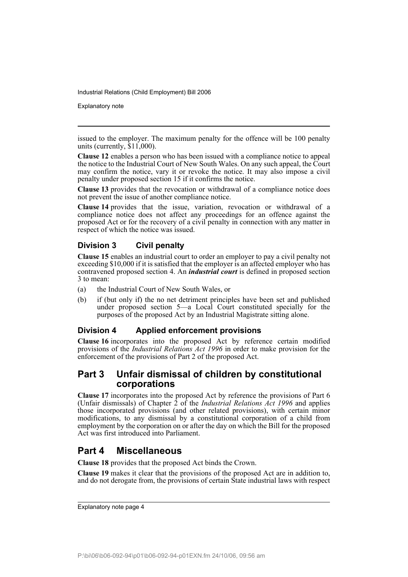Explanatory note

issued to the employer. The maximum penalty for the offence will be 100 penalty units (currently,  $$11,000$ ).

**Clause 12** enables a person who has been issued with a compliance notice to appeal the notice to the Industrial Court of New South Wales. On any such appeal, the Court may confirm the notice, vary it or revoke the notice. It may also impose a civil penalty under proposed section 15 if it confirms the notice.

**Clause 13** provides that the revocation or withdrawal of a compliance notice does not prevent the issue of another compliance notice.

**Clause 14** provides that the issue, variation, revocation or withdrawal of a compliance notice does not affect any proceedings for an offence against the proposed Act or for the recovery of a civil penalty in connection with any matter in respect of which the notice was issued.

## **Division 3 Civil penalty**

**Clause 15** enables an industrial court to order an employer to pay a civil penalty not exceeding \$10,000 if it is satisfied that the employer is an affected employer who has contravened proposed section 4. An *industrial court* is defined in proposed section 3 to mean:

- (a) the Industrial Court of New South Wales, or
- (b) if (but only if) the no net detriment principles have been set and published under proposed section 5—a Local Court constituted specially for the purposes of the proposed Act by an Industrial Magistrate sitting alone.

#### **Division 4 Applied enforcement provisions**

**Clause 16** incorporates into the proposed Act by reference certain modified provisions of the *Industrial Relations Act 1996* in order to make provision for the enforcement of the provisions of Part 2 of the proposed Act.

## **Part 3 Unfair dismissal of children by constitutional corporations**

**Clause 17** incorporates into the proposed Act by reference the provisions of Part 6 (Unfair dismissals) of Chapter 2 of the *Industrial Relations Act 1996* and applies those incorporated provisions (and other related provisions), with certain minor modifications, to any dismissal by a constitutional corporation of a child from employment by the corporation on or after the day on which the Bill for the proposed Act was first introduced into Parliament.

## **Part 4 Miscellaneous**

**Clause 18** provides that the proposed Act binds the Crown.

**Clause 19** makes it clear that the provisions of the proposed Act are in addition to, and do not derogate from, the provisions of certain State industrial laws with respect

```
Explanatory note page 4
```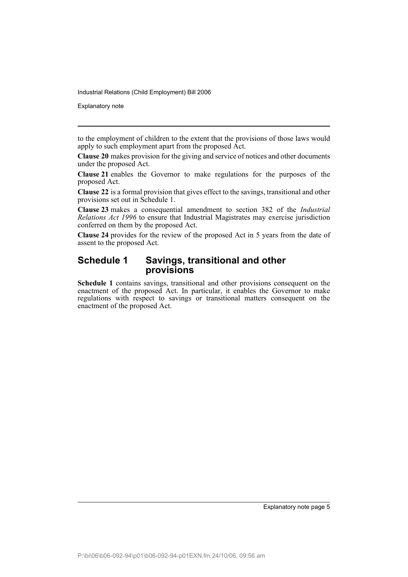Explanatory note

to the employment of children to the extent that the provisions of those laws would apply to such employment apart from the proposed Act.

**Clause 20** makes provision for the giving and service of notices and other documents under the proposed Act.

**Clause 21** enables the Governor to make regulations for the purposes of the proposed Act.

**Clause 22** is a formal provision that gives effect to the savings, transitional and other provisions set out in Schedule 1.

**Clause 23** makes a consequential amendment to section 382 of the *Industrial Relations Act 1996* to ensure that Industrial Magistrates may exercise jurisdiction conferred on them by the proposed Act.

**Clause 24** provides for the review of the proposed Act in 5 years from the date of assent to the proposed Act.

## **Schedule 1 Savings, transitional and other provisions**

**Schedule 1** contains savings, transitional and other provisions consequent on the enactment of the proposed Act. In particular, it enables the Governor to make regulations with respect to savings or transitional matters consequent on the enactment of the proposed Act.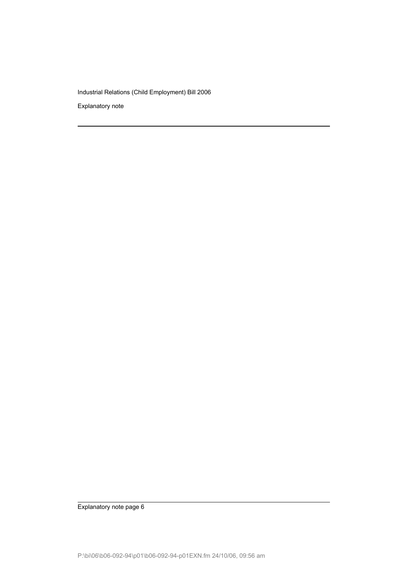Explanatory note

Explanatory note page 6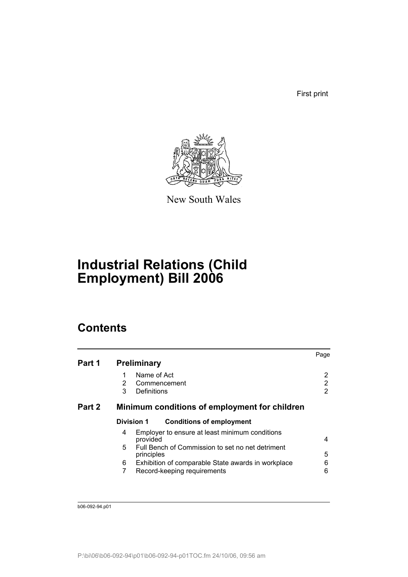First print



New South Wales

# **Industrial Relations (Child Employment) Bill 2006**

# **Contents**

| Part 1 | <b>Preliminary</b>                                                                                                                                                                                                                    | Page             |
|--------|---------------------------------------------------------------------------------------------------------------------------------------------------------------------------------------------------------------------------------------|------------------|
|        | Name of Act<br>1<br>$\overline{2}$<br>Commencement<br>3<br>Definitions                                                                                                                                                                | 2<br>2<br>2      |
| Part 2 | Minimum conditions of employment for children                                                                                                                                                                                         |                  |
|        | <b>Division 1</b><br><b>Conditions of employment</b>                                                                                                                                                                                  |                  |
|        | Employer to ensure at least minimum conditions<br>4<br>provided<br>5<br>Full Bench of Commission to set no net detriment<br>principles<br>Exhibition of comparable State awards in workplace<br>6<br>7<br>Record-keeping requirements | 4<br>5<br>6<br>6 |

b06-092-94.p01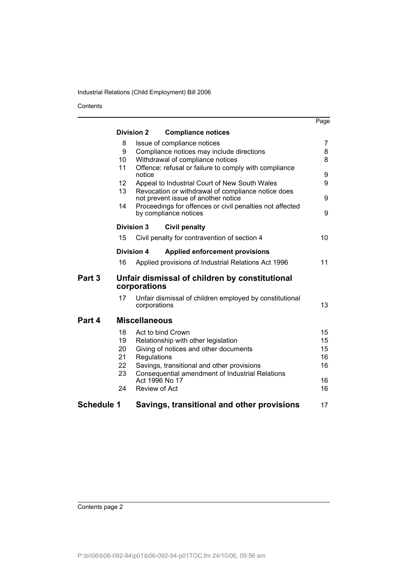Contents

|                   |                                                                |                      |                                                                                           | Page |  |
|-------------------|----------------------------------------------------------------|----------------------|-------------------------------------------------------------------------------------------|------|--|
|                   | <b>Division 2</b>                                              |                      | <b>Compliance notices</b>                                                                 |      |  |
|                   | 8                                                              |                      | Issue of compliance notices                                                               | 7    |  |
|                   | 9                                                              |                      | Compliance notices may include directions                                                 | 8    |  |
|                   | 10                                                             |                      | Withdrawal of compliance notices                                                          | 8    |  |
|                   | 11                                                             | notice               | Offence: refusal or failure to comply with compliance                                     | 9    |  |
|                   | 12                                                             |                      | Appeal to Industrial Court of New South Wales                                             | 9    |  |
|                   | 13                                                             |                      | Revocation or withdrawal of compliance notice does<br>not prevent issue of another notice | 9    |  |
|                   | 14                                                             |                      | Proceedings for offences or civil penalties not affected<br>by compliance notices         | 9    |  |
|                   | Division 3                                                     |                      | <b>Civil penalty</b>                                                                      |      |  |
|                   | 15                                                             |                      | Civil penalty for contravention of section 4                                              | 10   |  |
|                   | Division 4                                                     |                      | <b>Applied enforcement provisions</b>                                                     |      |  |
|                   | 16                                                             |                      | Applied provisions of Industrial Relations Act 1996                                       | 11   |  |
| Part 3            | Unfair dismissal of children by constitutional<br>corporations |                      |                                                                                           |      |  |
|                   | 17                                                             | corporations         | Unfair dismissal of children employed by constitutional                                   | 13   |  |
| Part 4            |                                                                | <b>Miscellaneous</b> |                                                                                           |      |  |
|                   | 18                                                             | Act to bind Crown    |                                                                                           | 15   |  |
|                   | 19                                                             |                      | Relationship with other legislation                                                       | 15   |  |
|                   | 20                                                             |                      | Giving of notices and other documents                                                     | 15   |  |
|                   | 21                                                             | Regulations          |                                                                                           | 16   |  |
|                   | 22                                                             |                      | Savings, transitional and other provisions                                                | 16   |  |
|                   | 23                                                             |                      | Consequential amendment of Industrial Relations                                           |      |  |
|                   |                                                                | Act 1996 No 17       |                                                                                           | 16   |  |
|                   | 24                                                             | Review of Act        |                                                                                           | 16   |  |
| <b>Schedule 1</b> |                                                                |                      | Savings, transitional and other provisions                                                | 17   |  |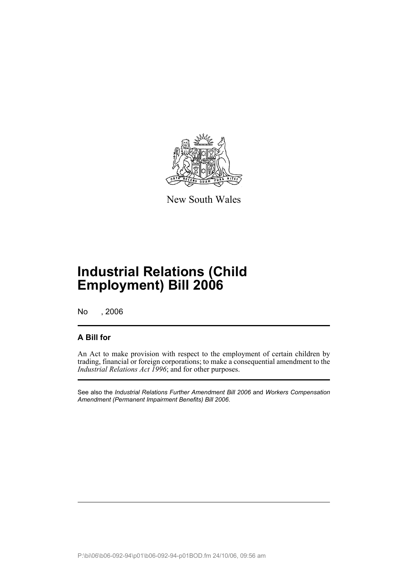

New South Wales

# **Industrial Relations (Child Employment) Bill 2006**

No , 2006

## **A Bill for**

An Act to make provision with respect to the employment of certain children by trading, financial or foreign corporations; to make a consequential amendment to the *Industrial Relations Act 1996*; and for other purposes.

See also the *Industrial Relations Further Amendment Bill 2006* and *Workers Compensation Amendment (Permanent Impairment Benefits) Bill 2006*.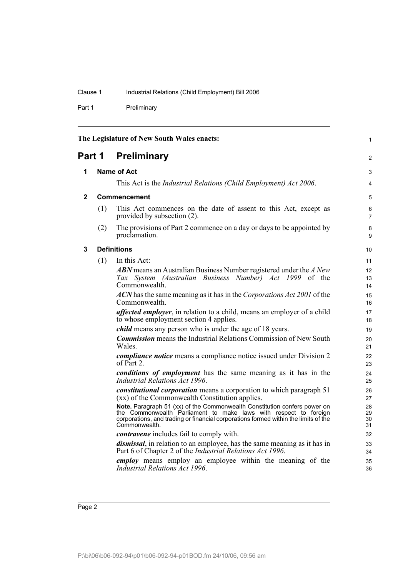Part 1 Preliminary

<span id="page-9-3"></span><span id="page-9-2"></span><span id="page-9-1"></span><span id="page-9-0"></span>

| The Legislature of New South Wales enacts: |                                                                                                                                                                                                                                                       |                                                                                                                                                       | $\mathbf{1}$        |  |  |  |
|--------------------------------------------|-------------------------------------------------------------------------------------------------------------------------------------------------------------------------------------------------------------------------------------------------------|-------------------------------------------------------------------------------------------------------------------------------------------------------|---------------------|--|--|--|
| Part 1                                     |                                                                                                                                                                                                                                                       | <b>Preliminary</b>                                                                                                                                    | $\overline{2}$      |  |  |  |
| 1                                          |                                                                                                                                                                                                                                                       | <b>Name of Act</b>                                                                                                                                    |                     |  |  |  |
|                                            |                                                                                                                                                                                                                                                       | This Act is the <i>Industrial Relations (Child Employment) Act 2006</i> .                                                                             | 4                   |  |  |  |
| $\mathbf{2}$                               |                                                                                                                                                                                                                                                       | <b>Commencement</b>                                                                                                                                   | 5                   |  |  |  |
|                                            | (1)                                                                                                                                                                                                                                                   | This Act commences on the date of assent to this Act, except as<br>provided by subsection (2).                                                        | 6<br>$\overline{7}$ |  |  |  |
|                                            | (2)                                                                                                                                                                                                                                                   | The provisions of Part 2 commence on a day or days to be appointed by<br>proclamation.                                                                | 8<br>9              |  |  |  |
| 3                                          |                                                                                                                                                                                                                                                       | <b>Definitions</b>                                                                                                                                    | 10                  |  |  |  |
|                                            | (1)                                                                                                                                                                                                                                                   | In this Act:                                                                                                                                          | 11                  |  |  |  |
|                                            |                                                                                                                                                                                                                                                       | <b>ABN</b> means an Australian Business Number registered under the A New<br>Tax System (Australian Business Number) Act 1999 of the<br>Commonwealth. | 12<br>13<br>14      |  |  |  |
|                                            |                                                                                                                                                                                                                                                       | ACN has the same meaning as it has in the Corporations Act 2001 of the<br>Commonwealth.                                                               | 15<br>16            |  |  |  |
|                                            |                                                                                                                                                                                                                                                       | <i>affected employer</i> , in relation to a child, means an employer of a child<br>to whose employment section 4 applies.                             | 17<br>18            |  |  |  |
|                                            |                                                                                                                                                                                                                                                       | <i>child</i> means any person who is under the age of 18 years.                                                                                       | 19                  |  |  |  |
|                                            |                                                                                                                                                                                                                                                       | <b>Commission</b> means the Industrial Relations Commission of New South<br>Wales.                                                                    | 20<br>21            |  |  |  |
|                                            |                                                                                                                                                                                                                                                       | compliance notice means a compliance notice issued under Division 2<br>of Part 2.                                                                     | 22<br>23            |  |  |  |
|                                            |                                                                                                                                                                                                                                                       | <i>conditions of employment</i> has the same meaning as it has in the<br><b>Industrial Relations Act 1996.</b>                                        | 24<br>25            |  |  |  |
|                                            |                                                                                                                                                                                                                                                       | constitutional corporation means a corporation to which paragraph 51<br>(xx) of the Commonwealth Constitution applies.                                | 26<br>27            |  |  |  |
|                                            | Note. Paragraph 51 (xx) of the Commonwealth Constitution confers power on<br>the Commonwealth Parliament to make laws with respect to foreign<br>corporations, and trading or financial corporations formed within the limits of the<br>Commonwealth. |                                                                                                                                                       |                     |  |  |  |
|                                            |                                                                                                                                                                                                                                                       | <i>contravene</i> includes fail to comply with.                                                                                                       | 32                  |  |  |  |
|                                            |                                                                                                                                                                                                                                                       | <i>dismissal</i> , in relation to an employee, has the same meaning as it has in<br>Part 6 of Chapter 2 of the Industrial Relations Act 1996.         | 33<br>34            |  |  |  |
|                                            |                                                                                                                                                                                                                                                       | <i>employ</i> means employ an employee within the meaning of the<br>Industrial Relations Act 1996.                                                    | 35<br>36            |  |  |  |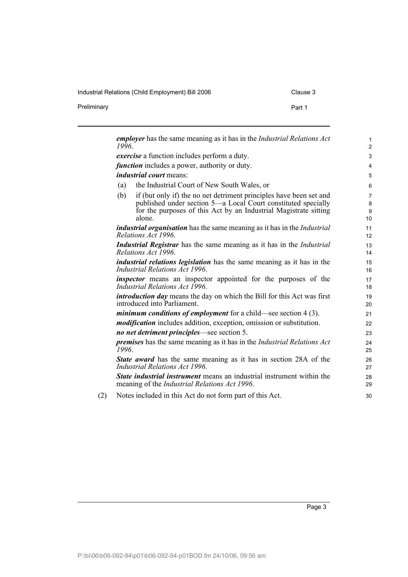Industrial Relations (Child Employment) Bill 2006 Clause 3

Preliminary **Preliminary** Part 1

|       | <i>exercise</i> a function includes perform a duty.                                                                                                                                                               | 3                              |
|-------|-------------------------------------------------------------------------------------------------------------------------------------------------------------------------------------------------------------------|--------------------------------|
|       | <i>function</i> includes a power, authority or duty.                                                                                                                                                              | $\overline{4}$                 |
|       | <i>industrial court</i> means:                                                                                                                                                                                    | 5                              |
| (a)   | the Industrial Court of New South Wales, or                                                                                                                                                                       | 6                              |
| (b)   | if (but only if) the no net detriment principles have been set and<br>published under section 5—a Local Court constituted specially<br>for the purposes of this Act by an Industrial Magistrate sitting<br>alone. | $\overline{7}$<br>8<br>9<br>10 |
|       | <i>industrial organisation</i> has the same meaning as it has in the <i>Industrial</i><br>Relations Act 1996.                                                                                                     | 11<br>12                       |
|       | <b>Industrial Registrar</b> has the same meaning as it has in the <i>Industrial</i><br>Relations Act 1996.                                                                                                        | 13<br>14                       |
|       | <i>industrial relations legislation</i> has the same meaning as it has in the<br>Industrial Relations Act 1996.                                                                                                   | 15<br>16                       |
|       | <i>inspector</i> means an inspector appointed for the purposes of the<br>Industrial Relations Act 1996.                                                                                                           | 17<br>18                       |
|       | <i>introduction day</i> means the day on which the Bill for this Act was first<br>introduced into Parliament.                                                                                                     | 19<br>20                       |
|       | minimum conditions of employment for a child—see section $4(3)$ .                                                                                                                                                 | 21                             |
|       | <i>modification</i> includes addition, exception, omission or substitution.                                                                                                                                       | 22                             |
|       | no net detriment principles—see section 5.                                                                                                                                                                        | 23                             |
| 1996. | <b>premises</b> has the same meaning as it has in the <i>Industrial Relations Act</i>                                                                                                                             | 24<br>25                       |
|       | <b>State award</b> has the same meaning as it has in section 28A of the<br><b>Industrial Relations Act 1996.</b>                                                                                                  | 26<br>27                       |
|       | State industrial instrument means an industrial instrument within the<br>meaning of the <i>Industrial Relations Act 1996</i> .                                                                                    | 28<br>29                       |
|       | Notes included in this Act do not form part of this Act.                                                                                                                                                          | 30                             |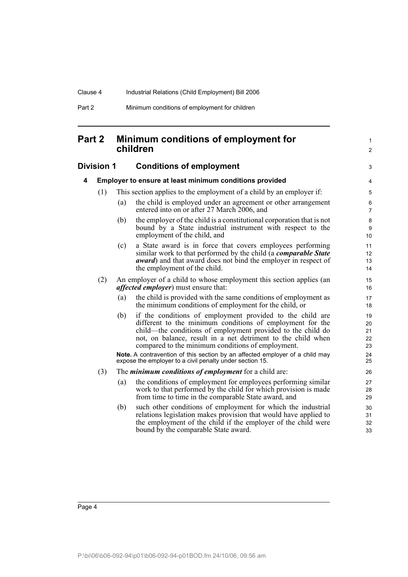### <span id="page-11-0"></span>**Part 2 Minimum conditions of employment for children**

#### <span id="page-11-2"></span><span id="page-11-1"></span>**Division 1 Conditions of employment**

#### **4 Employer to ensure at least minimum conditions provided**

- (1) This section applies to the employment of a child by an employer if:
	- (a) the child is employed under an agreement or other arrangement entered into on or after 27 March 2006, and

1  $\mathfrak{p}$ 

3

- (b) the employer of the child is a constitutional corporation that is not bound by a State industrial instrument with respect to the employment of the child, and
- (c) a State award is in force that covers employees performing similar work to that performed by the child (a *comparable State award*) and that award does not bind the employer in respect of the employment of the child.
- (2) An employer of a child to whose employment this section applies (an *affected employer*) must ensure that:
	- (a) the child is provided with the same conditions of employment as the minimum conditions of employment for the child, or
	- (b) if the conditions of employment provided to the child are different to the minimum conditions of employment for the child—the conditions of employment provided to the child do not, on balance, result in a net detriment to the child when compared to the minimum conditions of employment.

**Note.** A contravention of this section by an affected employer of a child may expose the employer to a civil penalty under section 15.

- (3) The *minimum conditions of employment* for a child are:
	- (a) the conditions of employment for employees performing similar work to that performed by the child for which provision is made from time to time in the comparable State award, and
	- (b) such other conditions of employment for which the industrial relations legislation makes provision that would have applied to the employment of the child if the employer of the child were bound by the comparable State award.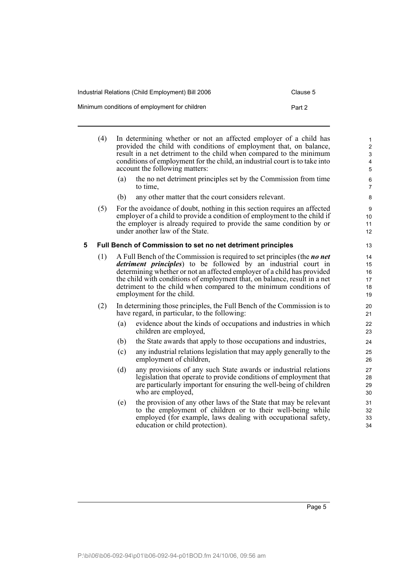| Industrial Relations (Child Employment) Bill 2006 | Clause 5 |
|---------------------------------------------------|----------|
| Minimum conditions of employment for children     | Part 2   |

<span id="page-12-0"></span>

|   | (4) |     | In determining whether or not an affected employer of a child has<br>provided the child with conditions of employment that, on balance,<br>result in a net detriment to the child when compared to the minimum<br>conditions of employment for the child, an industrial court is to take into<br>account the following matters:                                                                              | $\mathbf{1}$<br>$\overline{2}$<br>3<br>$\overline{\mathbf{4}}$<br>5 |
|---|-----|-----|--------------------------------------------------------------------------------------------------------------------------------------------------------------------------------------------------------------------------------------------------------------------------------------------------------------------------------------------------------------------------------------------------------------|---------------------------------------------------------------------|
|   |     | (a) | the no net detriment principles set by the Commission from time<br>to time,                                                                                                                                                                                                                                                                                                                                  | 6<br>$\overline{7}$                                                 |
|   |     | (b) | any other matter that the court considers relevant.                                                                                                                                                                                                                                                                                                                                                          | 8                                                                   |
|   | (5) |     | For the avoidance of doubt, nothing in this section requires an affected<br>employer of a child to provide a condition of employment to the child if<br>the employer is already required to provide the same condition by or<br>under another law of the State.                                                                                                                                              | 9<br>10<br>11<br>12                                                 |
| 5 |     |     | Full Bench of Commission to set no net detriment principles                                                                                                                                                                                                                                                                                                                                                  | 13                                                                  |
|   | (1) |     | A Full Bench of the Commission is required to set principles (the no net<br><i>detriment principles</i> ) to be followed by an industrial court in<br>determining whether or not an affected employer of a child has provided<br>the child with conditions of employment that, on balance, result in a net<br>detriment to the child when compared to the minimum conditions of<br>employment for the child. | 14<br>15<br>16<br>17<br>18<br>19                                    |
|   | (2) |     | In determining those principles, the Full Bench of the Commission is to<br>have regard, in particular, to the following:                                                                                                                                                                                                                                                                                     | 20<br>21                                                            |
|   |     | (a) | evidence about the kinds of occupations and industries in which<br>children are employed,                                                                                                                                                                                                                                                                                                                    | 22<br>23                                                            |
|   |     | (b) | the State awards that apply to those occupations and industries,                                                                                                                                                                                                                                                                                                                                             | 24                                                                  |
|   |     | (c) | any industrial relations legislation that may apply generally to the<br>employment of children,                                                                                                                                                                                                                                                                                                              | 25<br>26                                                            |
|   |     | (d) | any provisions of any such State awards or industrial relations<br>legislation that operate to provide conditions of employment that<br>are particularly important for ensuring the well-being of children<br>who are employed,                                                                                                                                                                              | 27<br>28<br>29<br>30                                                |
|   |     | (e) | the provision of any other laws of the State that may be relevant<br>to the employment of children or to their well-being while<br>employed (for example, laws dealing with occupational safety,<br>education or child protection).                                                                                                                                                                          | 31<br>32<br>33<br>34                                                |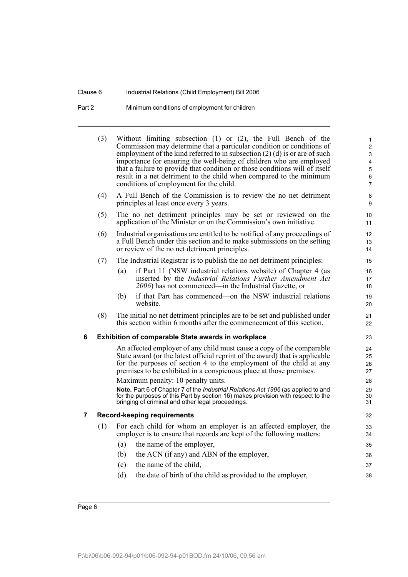Part 2 Minimum conditions of employment for children

<span id="page-13-1"></span><span id="page-13-0"></span>

|   | (3) | Without limiting subsection $(1)$ or $(2)$ , the Full Bench of the<br>Commission may determine that a particular condition or conditions of<br>employment of the kind referred to in subsection $(2)$ (d) is or are of such<br>importance for ensuring the well-being of children who are employed<br>that a failure to provide that condition or those conditions will of itself<br>result in a net detriment to the child when compared to the minimum<br>conditions of employment for the child.                                                                    | 1<br>$\overline{2}$<br>3<br>4<br>5<br>6<br>$\overline{7}$ |
|---|-----|------------------------------------------------------------------------------------------------------------------------------------------------------------------------------------------------------------------------------------------------------------------------------------------------------------------------------------------------------------------------------------------------------------------------------------------------------------------------------------------------------------------------------------------------------------------------|-----------------------------------------------------------|
|   | (4) | A Full Bench of the Commission is to review the no net detriment<br>principles at least once every 3 years.                                                                                                                                                                                                                                                                                                                                                                                                                                                            | 8<br>9                                                    |
|   | (5) | The no net detriment principles may be set or reviewed on the<br>application of the Minister or on the Commission's own initiative.                                                                                                                                                                                                                                                                                                                                                                                                                                    | 10<br>11                                                  |
|   | (6) | Industrial organisations are entitled to be notified of any proceedings of<br>a Full Bench under this section and to make submissions on the setting<br>or review of the no net detriment principles.                                                                                                                                                                                                                                                                                                                                                                  | 12<br>13<br>14                                            |
|   | (7) | The Industrial Registrar is to publish the no net detriment principles:                                                                                                                                                                                                                                                                                                                                                                                                                                                                                                | 15                                                        |
|   |     | if Part 11 (NSW industrial relations website) of Chapter 4 (as<br>(a)<br>inserted by the Industrial Relations Further Amendment Act<br>2006) has not commenced—in the Industrial Gazette, or                                                                                                                                                                                                                                                                                                                                                                           | 16<br>17<br>18                                            |
|   |     | if that Part has commenced—on the NSW industrial relations<br>(b)<br>website.                                                                                                                                                                                                                                                                                                                                                                                                                                                                                          | 19<br>20                                                  |
|   | (8) | The initial no net detriment principles are to be set and published under<br>this section within 6 months after the commencement of this section.                                                                                                                                                                                                                                                                                                                                                                                                                      | 21<br>22                                                  |
| 6 |     | Exhibition of comparable State awards in workplace                                                                                                                                                                                                                                                                                                                                                                                                                                                                                                                     | 23                                                        |
|   |     | An affected employer of any child must cause a copy of the comparable<br>State award (or the latest official reprint of the award) that is applicable<br>for the purposes of section 4 to the employment of the child at any<br>premises to be exhibited in a conspicuous place at those premises.<br>Maximum penalty: 10 penalty units.<br>Note. Part 6 of Chapter 7 of the Industrial Relations Act 1996 (as applied to and<br>for the purposes of this Part by section 16) makes provision with respect to the<br>bringing of criminal and other legal proceedings. | 24<br>25<br>26<br>27<br>28<br>29<br>30<br>31              |
| 7 |     | <b>Record-keeping requirements</b>                                                                                                                                                                                                                                                                                                                                                                                                                                                                                                                                     | 32                                                        |
|   | (1) | For each child for whom an employer is an affected employer, the<br>employer is to ensure that records are kept of the following matters:                                                                                                                                                                                                                                                                                                                                                                                                                              | 33<br>34                                                  |
|   |     | the name of the employer,<br>(a)                                                                                                                                                                                                                                                                                                                                                                                                                                                                                                                                       | 35                                                        |
|   |     | the ACN (if any) and ABN of the employer,<br>(b)                                                                                                                                                                                                                                                                                                                                                                                                                                                                                                                       | 36                                                        |
|   |     | the name of the child,<br>(c)                                                                                                                                                                                                                                                                                                                                                                                                                                                                                                                                          | 37                                                        |
|   |     | the date of birth of the child as provided to the employer,<br>(d)                                                                                                                                                                                                                                                                                                                                                                                                                                                                                                     | 38                                                        |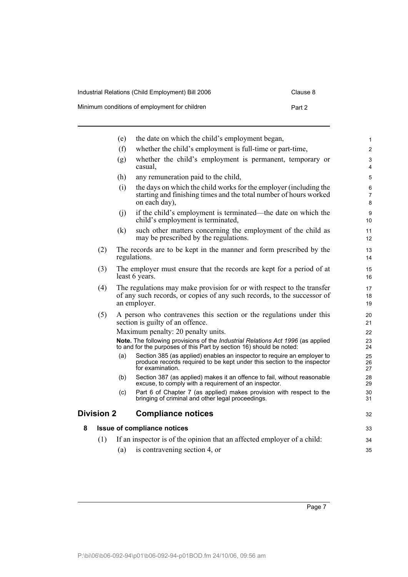| Minimum conditions of employment for children | Part 2 |
|-----------------------------------------------|--------|

<span id="page-14-1"></span><span id="page-14-0"></span>

|   |                   | (e) | the date on which the child's employment began,                                                                                                                        | $\mathbf{1}$             |
|---|-------------------|-----|------------------------------------------------------------------------------------------------------------------------------------------------------------------------|--------------------------|
|   |                   | (f) | whether the child's employment is full-time or part-time,                                                                                                              | $\overline{2}$           |
|   |                   | (g) | whether the child's employment is permanent, temporary or<br>casual,                                                                                                   | 3<br>$\overline{4}$      |
|   |                   | (h) | any remuneration paid to the child,                                                                                                                                    | 5                        |
|   |                   | (i) | the days on which the child works for the employer (including the<br>starting and finishing times and the total number of hours worked<br>on each day),                | 6<br>$\overline{7}$<br>8 |
|   |                   | (i) | if the child's employment is terminated—the date on which the<br>child's employment is terminated,                                                                     | 9<br>10                  |
|   |                   | (k) | such other matters concerning the employment of the child as<br>may be prescribed by the regulations.                                                                  | 11<br>12                 |
|   | (2)               |     | The records are to be kept in the manner and form prescribed by the<br>regulations.                                                                                    | 13<br>14                 |
|   | (3)               |     | The employer must ensure that the records are kept for a period of at<br>least 6 years.                                                                                | 15<br>16                 |
|   | (4)               |     | The regulations may make provision for or with respect to the transfer<br>of any such records, or copies of any such records, to the successor of<br>an employer.      | 17<br>18<br>19           |
|   | (5)               |     | A person who contravenes this section or the regulations under this<br>section is guilty of an offence.                                                                | 20<br>21                 |
|   |                   |     | Maximum penalty: 20 penalty units.                                                                                                                                     | 22                       |
|   |                   |     | Note. The following provisions of the Industrial Relations Act 1996 (as applied<br>to and for the purposes of this Part by section 16) should be noted:                | 23<br>24                 |
|   |                   | (a) | Section 385 (as applied) enables an inspector to require an employer to<br>produce records required to be kept under this section to the inspector<br>for examination. | 25<br>26<br>27           |
|   |                   | (b) | Section 387 (as applied) makes it an offence to fail, without reasonable<br>excuse, to comply with a requirement of an inspector.                                      | 28<br>29                 |
|   |                   | (c) | Part 6 of Chapter 7 (as applied) makes provision with respect to the<br>bringing of criminal and other legal proceedings.                                              | 30<br>31                 |
|   | <b>Division 2</b> |     | <b>Compliance notices</b>                                                                                                                                              | 32                       |
| 8 |                   |     | <b>Issue of compliance notices</b>                                                                                                                                     | 33                       |
|   | (1)               |     | If an inspector is of the opinion that an affected employer of a child:                                                                                                | 34                       |
|   |                   | (a) | is contravening section 4, or                                                                                                                                          | 35                       |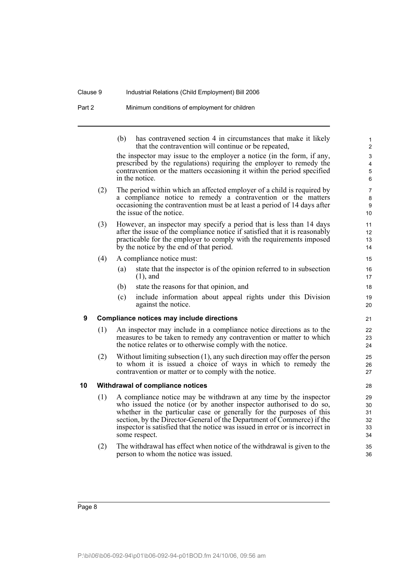Part 2 Minimum conditions of employment for children

(b) has contravened section 4 in circumstances that make it likely that the contravention will continue or be repeated,

the inspector may issue to the employer a notice (in the form, if any, prescribed by the regulations) requiring the employer to remedy the contravention or the matters occasioning it within the period specified in the notice.

- (2) The period within which an affected employer of a child is required by a compliance notice to remedy a contravention or the matters occasioning the contravention must be at least a period of 14 days after the issue of the notice.
- (3) However, an inspector may specify a period that is less than 14 days after the issue of the compliance notice if satisfied that it is reasonably practicable for the employer to comply with the requirements imposed by the notice by the end of that period.
- (4) A compliance notice must:
	- (a) state that the inspector is of the opinion referred to in subsection (1), and
	- (b) state the reasons for that opinion, and
	- (c) include information about appeal rights under this Division against the notice.

#### <span id="page-15-0"></span>**9 Compliance notices may include directions**

- (1) An inspector may include in a compliance notice directions as to the measures to be taken to remedy any contravention or matter to which the notice relates or to otherwise comply with the notice.
- (2) Without limiting subsection (1), any such direction may offer the person to whom it is issued a choice of ways in which to remedy the contravention or matter or to comply with the notice.

#### <span id="page-15-1"></span>**10 Withdrawal of compliance notices**

- (1) A compliance notice may be withdrawn at any time by the inspector who issued the notice (or by another inspector authorised to do so, whether in the particular case or generally for the purposes of this section, by the Director-General of the Department of Commerce) if the inspector is satisfied that the notice was issued in error or is incorrect in some respect.
- (2) The withdrawal has effect when notice of the withdrawal is given to the person to whom the notice was issued.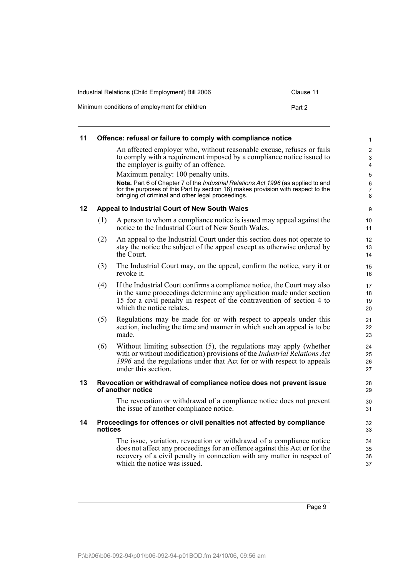| Industrial Relations (Child Employment) Bill 2006 | Clause 11 |
|---------------------------------------------------|-----------|
| Minimum conditions of employment for children     | Part 2    |

<span id="page-16-3"></span><span id="page-16-2"></span><span id="page-16-1"></span><span id="page-16-0"></span>

| 11 |         | Offence: refusal or failure to comply with compliance notice                                                                                                                                                                                                      | $\mathbf{1}$                                       |
|----|---------|-------------------------------------------------------------------------------------------------------------------------------------------------------------------------------------------------------------------------------------------------------------------|----------------------------------------------------|
|    |         | An affected employer who, without reasonable excuse, refuses or fails<br>to comply with a requirement imposed by a compliance notice issued to<br>the employer is guilty of an offence.                                                                           | $\overline{2}$<br>3<br>4                           |
|    |         | Maximum penalty: 100 penalty units.<br>Note. Part 6 of Chapter 7 of the Industrial Relations Act 1996 (as applied to and<br>for the purposes of this Part by section 16) makes provision with respect to the<br>bringing of criminal and other legal proceedings. | $\sqrt{5}$<br>$\,6\,$<br>$\overline{7}$<br>$\bf 8$ |
| 12 |         | <b>Appeal to Industrial Court of New South Wales</b>                                                                                                                                                                                                              | 9                                                  |
|    | (1)     | A person to whom a compliance notice is issued may appeal against the<br>notice to the Industrial Court of New South Wales.                                                                                                                                       | 10<br>11                                           |
|    | (2)     | An appeal to the Industrial Court under this section does not operate to<br>stay the notice the subject of the appeal except as otherwise ordered by<br>the Court.                                                                                                | 12<br>13<br>14                                     |
|    | (3)     | The Industrial Court may, on the appeal, confirm the notice, vary it or<br>revoke it.                                                                                                                                                                             | 15<br>16                                           |
|    | (4)     | If the Industrial Court confirms a compliance notice, the Court may also<br>in the same proceedings determine any application made under section<br>15 for a civil penalty in respect of the contravention of section 4 to<br>which the notice relates.           | 17<br>18<br>19<br>20                               |
|    | (5)     | Regulations may be made for or with respect to appeals under this<br>section, including the time and manner in which such an appeal is to be<br>made.                                                                                                             | 21<br>22<br>23                                     |
|    | (6)     | Without limiting subsection (5), the regulations may apply (whether<br>with or without modification) provisions of the <i>Industrial Relations Act</i><br>1996 and the regulations under that Act for or with respect to appeals<br>under this section.           | 24<br>25<br>26<br>27                               |
| 13 |         | Revocation or withdrawal of compliance notice does not prevent issue<br>of another notice                                                                                                                                                                         | 28<br>29                                           |
|    |         | The revocation or withdrawal of a compliance notice does not prevent<br>the issue of another compliance notice.                                                                                                                                                   | 30<br>31                                           |
| 14 | notices | Proceedings for offences or civil penalties not affected by compliance                                                                                                                                                                                            | 32<br>33                                           |
|    |         | The issue, variation, revocation or withdrawal of a compliance notice<br>does not affect any proceedings for an offence against this Act or for the<br>recovery of a civil penalty in connection with any matter in respect of<br>which the notice was issued.    | 34<br>35<br>36<br>37                               |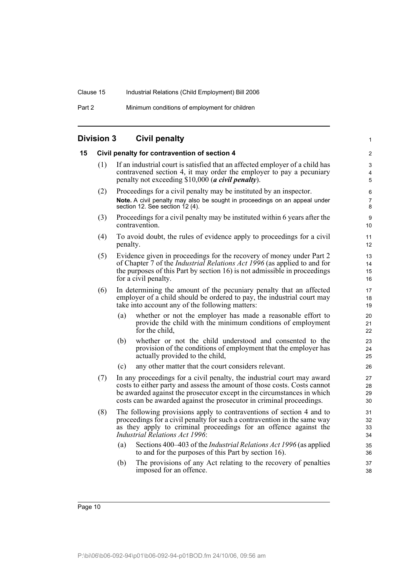<span id="page-17-1"></span><span id="page-17-0"></span>

| <b>Division 3</b><br><b>Civil penalty</b> |                                                                                                                                                                                                                                                                     |                                                                                                                                                                                                  | $\mathbf{1}$                                                                                                                                                                                                                                                                                         |                      |  |
|-------------------------------------------|---------------------------------------------------------------------------------------------------------------------------------------------------------------------------------------------------------------------------------------------------------------------|--------------------------------------------------------------------------------------------------------------------------------------------------------------------------------------------------|------------------------------------------------------------------------------------------------------------------------------------------------------------------------------------------------------------------------------------------------------------------------------------------------------|----------------------|--|
| 15                                        |                                                                                                                                                                                                                                                                     |                                                                                                                                                                                                  | Civil penalty for contravention of section 4                                                                                                                                                                                                                                                         | $\overline{c}$       |  |
| (1)                                       |                                                                                                                                                                                                                                                                     |                                                                                                                                                                                                  | If an industrial court is satisfied that an affected employer of a child has<br>contravened section 4, it may order the employer to pay a pecuniary<br>penalty not exceeding \$10,000 ( <i>a civil penalty</i> ).                                                                                    | 3<br>4<br>5          |  |
|                                           | (2)<br>Proceedings for a civil penalty may be instituted by an inspector.<br>Note. A civil penalty may also be sought in proceedings on an appeal under<br>section 12. See section 12 (4).                                                                          |                                                                                                                                                                                                  |                                                                                                                                                                                                                                                                                                      |                      |  |
|                                           | (3)                                                                                                                                                                                                                                                                 |                                                                                                                                                                                                  | Proceedings for a civil penalty may be instituted within 6 years after the<br>contravention.                                                                                                                                                                                                         | 9<br>10              |  |
|                                           | (4)                                                                                                                                                                                                                                                                 | penalty.                                                                                                                                                                                         | To avoid doubt, the rules of evidence apply to proceedings for a civil                                                                                                                                                                                                                               | 11<br>12             |  |
|                                           | (5)<br>Evidence given in proceedings for the recovery of money under Part 2<br>of Chapter 7 of the <i>Industrial Relations Act 1996</i> (as applied to and for<br>the purposes of this Part by section 16) is not admissible in proceedings<br>for a civil penalty. |                                                                                                                                                                                                  |                                                                                                                                                                                                                                                                                                      | 13<br>14<br>15<br>16 |  |
|                                           | (6)                                                                                                                                                                                                                                                                 | In determining the amount of the pecuniary penalty that an affected<br>employer of a child should be ordered to pay, the industrial court may<br>take into account any of the following matters: |                                                                                                                                                                                                                                                                                                      |                      |  |
|                                           |                                                                                                                                                                                                                                                                     | (a)                                                                                                                                                                                              | whether or not the employer has made a reasonable effort to<br>provide the child with the minimum conditions of employment<br>for the child,                                                                                                                                                         | 20<br>21<br>22       |  |
|                                           |                                                                                                                                                                                                                                                                     | (b)                                                                                                                                                                                              | whether or not the child understood and consented to the<br>provision of the conditions of employment that the employer has<br>actually provided to the child,                                                                                                                                       | 23<br>24<br>25       |  |
|                                           |                                                                                                                                                                                                                                                                     | (c)                                                                                                                                                                                              | any other matter that the court considers relevant.                                                                                                                                                                                                                                                  | 26                   |  |
|                                           | (7)                                                                                                                                                                                                                                                                 |                                                                                                                                                                                                  | In any proceedings for a civil penalty, the industrial court may award<br>costs to either party and assess the amount of those costs. Costs cannot<br>be awarded against the prosecutor except in the circumstances in which<br>costs can be awarded against the prosecutor in criminal proceedings. | 27<br>28<br>29<br>30 |  |
|                                           | (8)                                                                                                                                                                                                                                                                 |                                                                                                                                                                                                  | The following provisions apply to contraventions of section 4 and to<br>proceedings for a civil penalty for such a contravention in the same way<br>as they apply to criminal proceedings for an offence against the<br>Industrial Relations Act 1996:                                               | 31<br>32<br>33<br>34 |  |
|                                           | Sections 400-403 of the Industrial Relations Act 1996 (as applied<br>(a)<br>to and for the purposes of this Part by section 16).                                                                                                                                    |                                                                                                                                                                                                  | 35<br>36                                                                                                                                                                                                                                                                                             |                      |  |
|                                           |                                                                                                                                                                                                                                                                     | (b)                                                                                                                                                                                              | The provisions of any Act relating to the recovery of penalties<br>imposed for an offence.                                                                                                                                                                                                           | 37<br>38             |  |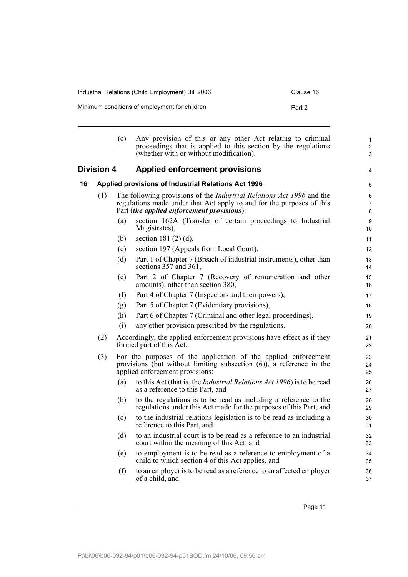| Industrial Relations (Child Employment) Bill 2006 | Clause 16 |
|---------------------------------------------------|-----------|
| Minimum conditions of employment for children     | Part 2    |

<span id="page-18-1"></span><span id="page-18-0"></span>

|    |                                                            | (c) | Any provision of this or any other Act relating to criminal<br>proceedings that is applied to this section by the regulations<br>(whether with or without modification).                     | $\mathbf{1}$<br>$\overline{2}$<br>3 |
|----|------------------------------------------------------------|-----|----------------------------------------------------------------------------------------------------------------------------------------------------------------------------------------------|-------------------------------------|
|    | <b>Division 4</b><br><b>Applied enforcement provisions</b> |     | $\overline{4}$                                                                                                                                                                               |                                     |
| 16 |                                                            |     | Applied provisions of Industrial Relations Act 1996                                                                                                                                          | 5                                   |
|    | (1)                                                        |     | The following provisions of the Industrial Relations Act 1996 and the<br>regulations made under that Act apply to and for the purposes of this<br>Part (the applied enforcement provisions): | 6<br>$\overline{7}$<br>8            |
|    |                                                            | (a) | section 162A (Transfer of certain proceedings to Industrial<br>Magistrates),                                                                                                                 | 9<br>10                             |
|    |                                                            | (b) | section 181 $(2)$ $(d)$ ,                                                                                                                                                                    | 11                                  |
|    |                                                            | (c) | section 197 (Appeals from Local Court),                                                                                                                                                      | 12                                  |
|    |                                                            | (d) | Part 1 of Chapter 7 (Breach of industrial instruments), other than<br>sections 357 and 361,                                                                                                  | 13<br>14                            |
|    |                                                            | (e) | Part 2 of Chapter 7 (Recovery of remuneration and other<br>amounts), other than section 380,                                                                                                 | 15<br>16                            |
|    |                                                            | (f) | Part 4 of Chapter 7 (Inspectors and their powers),                                                                                                                                           | 17                                  |
|    |                                                            | (g) | Part 5 of Chapter 7 (Evidentiary provisions),                                                                                                                                                | 18                                  |
|    |                                                            | (h) | Part 6 of Chapter 7 (Criminal and other legal proceedings),                                                                                                                                  | 19                                  |
|    |                                                            | (i) | any other provision prescribed by the regulations.                                                                                                                                           | 20                                  |
|    | (2)                                                        |     | Accordingly, the applied enforcement provisions have effect as if they<br>formed part of this Act.                                                                                           | 21<br>22                            |
|    | (3)                                                        |     | For the purposes of the application of the applied enforcement<br>provisions (but without limiting subsection $(6)$ ), a reference in the<br>applied enforcement provisions:                 | 23<br>24<br>25                      |
|    |                                                            | (a) | to this Act (that is, the <i>Industrial Relations Act 1996</i> ) is to be read<br>as a reference to this Part, and                                                                           | 26<br>27                            |
|    |                                                            | (b) | to the regulations is to be read as including a reference to the<br>regulations under this Act made for the purposes of this Part, and                                                       | 28<br>29                            |
|    |                                                            | (c) | to the industrial relations legislation is to be read as including a<br>reference to this Part, and                                                                                          | 30<br>31                            |
|    |                                                            | (d) | to an industrial court is to be read as a reference to an industrial<br>court within the meaning of this Act, and                                                                            | 32<br>33                            |
|    |                                                            | (e) | to employment is to be read as a reference to employment of a<br>child to which section 4 of this Act applies, and                                                                           | 34<br>35                            |
|    |                                                            | (f) | to an employer is to be read as a reference to an affected employer<br>of a child, and                                                                                                       | 36<br>37                            |
|    |                                                            |     |                                                                                                                                                                                              |                                     |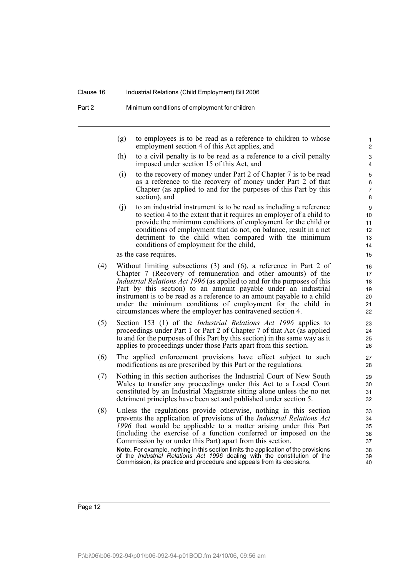#### Clause 16 Industrial Relations (Child Employment) Bill 2006

Part 2 Minimum conditions of employment for children

- (g) to employees is to be read as a reference to children to whose employment section 4 of this Act applies, and
- (h) to a civil penalty is to be read as a reference to a civil penalty imposed under section 15 of this Act, and

- (i) to the recovery of money under Part 2 of Chapter 7 is to be read as a reference to the recovery of money under Part 2 of that Chapter (as applied to and for the purposes of this Part by this section), and
- (j) to an industrial instrument is to be read as including a reference to section 4 to the extent that it requires an employer of a child to provide the minimum conditions of employment for the child or conditions of employment that do not, on balance, result in a net detriment to the child when compared with the minimum conditions of employment for the child,

as the case requires.

- (4) Without limiting subsections (3) and (6), a reference in Part 2 of Chapter 7 (Recovery of remuneration and other amounts) of the *Industrial Relations Act 1996* (as applied to and for the purposes of this Part by this section) to an amount payable under an industrial instrument is to be read as a reference to an amount payable to a child under the minimum conditions of employment for the child in circumstances where the employer has contravened section 4.
- (5) Section 153 (1) of the *Industrial Relations Act 1996* applies to proceedings under Part 1 or Part 2 of Chapter 7 of that Act (as applied to and for the purposes of this Part by this section) in the same way as it applies to proceedings under those Parts apart from this section.
- (6) The applied enforcement provisions have effect subject to such modifications as are prescribed by this Part or the regulations.
- (7) Nothing in this section authorises the Industrial Court of New South Wales to transfer any proceedings under this Act to a Local Court constituted by an Industrial Magistrate sitting alone unless the no net detriment principles have been set and published under section 5.
- (8) Unless the regulations provide otherwise, nothing in this section prevents the application of provisions of the *Industrial Relations Act 1996* that would be applicable to a matter arising under this Part (including the exercise of a function conferred or imposed on the Commission by or under this Part) apart from this section.

**Note.** For example, nothing in this section limits the application of the provisions of the *Industrial Relations Act 1996* dealing with the constitution of the Commission, its practice and procedure and appeals from its decisions.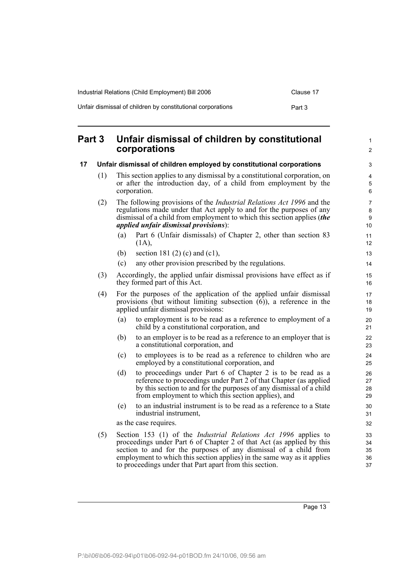| Industrial Relations (Child Employment) Bill 2006           | Clause 17 |
|-------------------------------------------------------------|-----------|
| Unfair dismissal of children by constitutional corporations | Part 3    |

## <span id="page-20-0"></span>**Part 3 Unfair dismissal of children by constitutional corporations**

#### <span id="page-20-1"></span>**17 Unfair dismissal of children employed by constitutional corporations**

- (1) This section applies to any dismissal by a constitutional corporation, on or after the introduction day, of a child from employment by the corporation.
- (2) The following provisions of the *Industrial Relations Act 1996* and the regulations made under that Act apply to and for the purposes of any dismissal of a child from employment to which this section applies (*the applied unfair dismissal provisions*):
	- (a) Part 6 (Unfair dismissals) of Chapter 2, other than section 83 (1A),
	- (b) section 181 (2) (c) and (c1),
	- (c) any other provision prescribed by the regulations.
- (3) Accordingly, the applied unfair dismissal provisions have effect as if they formed part of this Act.
- (4) For the purposes of the application of the applied unfair dismissal provisions (but without limiting subsection (6)), a reference in the applied unfair dismissal provisions:
	- (a) to employment is to be read as a reference to employment of a child by a constitutional corporation, and
	- (b) to an employer is to be read as a reference to an employer that is a constitutional corporation, and
	- (c) to employees is to be read as a reference to children who are employed by a constitutional corporation, and
	- (d) to proceedings under Part 6 of Chapter 2 is to be read as a reference to proceedings under Part 2 of that Chapter (as applied by this section to and for the purposes of any dismissal of a child from employment to which this section applies), and
	- (e) to an industrial instrument is to be read as a reference to a State industrial instrument,

as the case requires.

(5) Section 153 (1) of the *Industrial Relations Act 1996* applies to proceedings under Part 6 of Chapter 2 of that Act (as applied by this section to and for the purposes of any dismissal of a child from employment to which this section applies) in the same way as it applies to proceedings under that Part apart from this section.

Page 13

1  $\mathfrak{p}$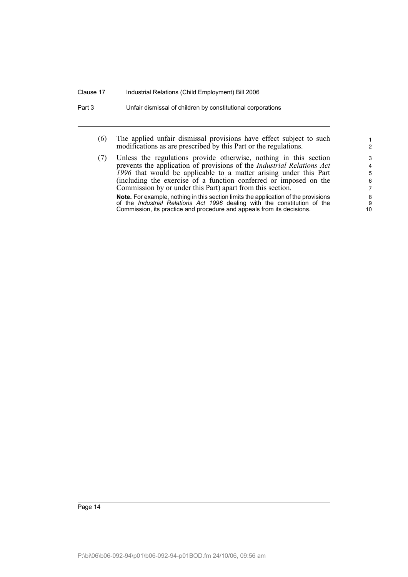#### Clause 17 Industrial Relations (Child Employment) Bill 2006

Part 3 Unfair dismissal of children by constitutional corporations

(6) The applied unfair dismissal provisions have effect subject to such modifications as are prescribed by this Part or the regulations.

(7) Unless the regulations provide otherwise, nothing in this section prevents the application of provisions of the *Industrial Relations Act 1996* that would be applicable to a matter arising under this Part (including the exercise of a function conferred or imposed on the Commission by or under this Part) apart from this section. **Note.** For example, nothing in this section limits the application of the provisions of the *Industrial Relations Act 1996* dealing with the constitution of the Commission, its practice and procedure and appeals from its decisions.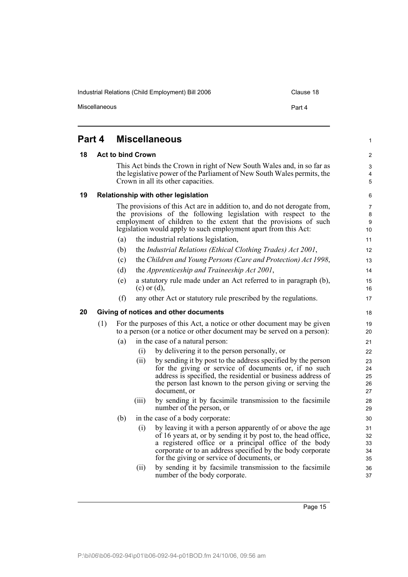Industrial Relations (Child Employment) Bill 2006 Clause 18

Miscellaneous **Part 4** 

1

## <span id="page-22-3"></span><span id="page-22-2"></span><span id="page-22-1"></span><span id="page-22-0"></span>**Part 4 Miscellaneous 18 Act to bind Crown** This Act binds the Crown in right of New South Wales and, in so far as the legislative power of the Parliament of New South Wales permits, the Crown in all its other capacities. **19 Relationship with other legislation** The provisions of this Act are in addition to, and do not derogate from, the provisions of the following legislation with respect to the employment of children to the extent that the provisions of such legislation would apply to such employment apart from this Act: (a) the industrial relations legislation, (b) the *Industrial Relations (Ethical Clothing Trades) Act 2001*, (c) the *Children and Young Persons (Care and Protection) Act 1998*, (d) the *Apprenticeship and Traineeship Act 2001*, (e) a statutory rule made under an Act referred to in paragraph (b), (c) or (d), (f) any other Act or statutory rule prescribed by the regulations. **20 Giving of notices and other documents** (1) For the purposes of this Act, a notice or other document may be given to a person (or a notice or other document may be served on a person): (a) in the case of a natural person: (i) by delivering it to the person personally, or (ii) by sending it by post to the address specified by the person for the giving or service of documents or, if no such address is specified, the residential or business address of the person last known to the person giving or serving the document, or (iii) by sending it by facsimile transmission to the facsimile number of the person, or (b) in the case of a body corporate: (i) by leaving it with a person apparently of or above the age of 16 years at, or by sending it by post to, the head office, a registered office or a principal office of the body corporate or to an address specified by the body corporate for the giving or service of documents, or (ii) by sending it by facsimile transmission to the facsimile number of the body corporate.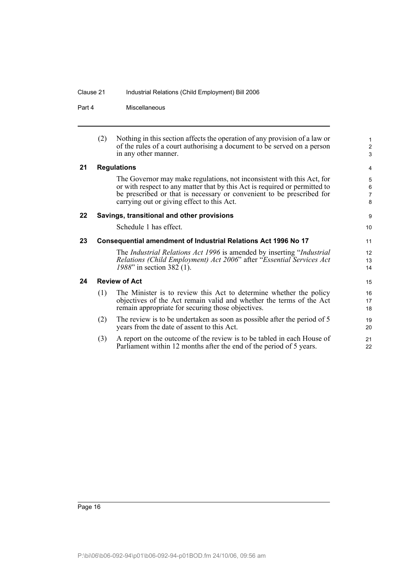## Clause 21 Industrial Relations (Child Employment) Bill 2006

Part 4 Miscellaneous

<span id="page-23-3"></span><span id="page-23-2"></span><span id="page-23-1"></span><span id="page-23-0"></span>

|    | (2)                | Nothing in this section affects the operation of any provision of a law or<br>of the rules of a court authorising a document to be served on a person<br>in any other manner.                                                                                               | 1<br>$\overline{\mathbf{c}}$<br>3 |
|----|--------------------|-----------------------------------------------------------------------------------------------------------------------------------------------------------------------------------------------------------------------------------------------------------------------------|-----------------------------------|
| 21 | <b>Regulations</b> |                                                                                                                                                                                                                                                                             |                                   |
|    |                    | The Governor may make regulations, not inconsistent with this Act, for<br>or with respect to any matter that by this Act is required or permitted to<br>be prescribed or that is necessary or convenient to be prescribed for<br>carrying out or giving effect to this Act. | 5<br>6<br>$\overline{7}$<br>8     |
| 22 |                    | Savings, transitional and other provisions                                                                                                                                                                                                                                  | 9                                 |
|    |                    | Schedule 1 has effect.                                                                                                                                                                                                                                                      | 10                                |
| 23 |                    | Consequential amendment of Industrial Relations Act 1996 No 17                                                                                                                                                                                                              | 11                                |
|    |                    | The <i>Industrial Relations Act 1996</i> is amended by inserting " <i>Industrial</i><br>Relations (Child Employment) Act 2006" after "Essential Services Act<br>1988" in section $382(1)$ .                                                                                 | 12<br>13<br>14                    |
| 24 |                    | <b>Review of Act</b>                                                                                                                                                                                                                                                        | 15                                |
|    | (1)                | The Minister is to review this Act to determine whether the policy<br>objectives of the Act remain valid and whether the terms of the Act<br>remain appropriate for securing those objectives.                                                                              | 16<br>17<br>18                    |
|    | (2)                | The review is to be undertaken as soon as possible after the period of 5<br>years from the date of assent to this Act.                                                                                                                                                      | 19<br>20                          |
|    | (3)                | A report on the outcome of the review is to be tabled in each House of<br>Parliament within 12 months after the end of the period of 5 years.                                                                                                                               | 21<br>22                          |